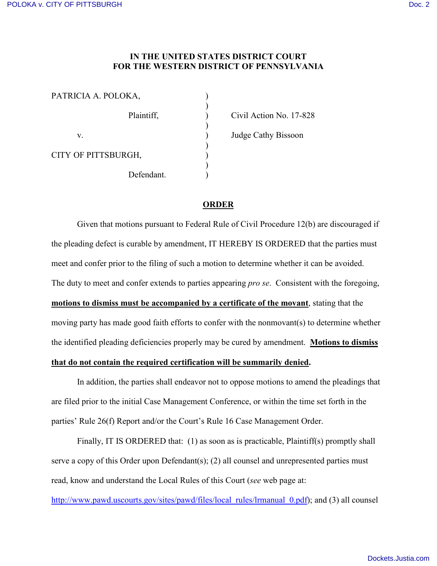## **IN THE UNITED STATES DISTRICT COURT FOR THE WESTERN DISTRICT OF PENNSYLVANIA**

| PATRICIA A. POLOKA, |            |  |
|---------------------|------------|--|
|                     | Plaintiff, |  |
| V                   |            |  |
| CITY OF PITTSBURGH, |            |  |
|                     | Defendant. |  |

Civil Action No. 17-828

) Judge Cathy Bissoon

## **ORDER**

 Given that motions pursuant to Federal Rule of Civil Procedure 12(b) are discouraged if the pleading defect is curable by amendment, IT HEREBY IS ORDERED that the parties must meet and confer prior to the filing of such a motion to determine whether it can be avoided. The duty to meet and confer extends to parties appearing *pro se*. Consistent with the foregoing, **motions to dismiss must be accompanied by a certificate of the movant**, stating that the moving party has made good faith efforts to confer with the nonmovant(s) to determine whether the identified pleading deficiencies properly may be cured by amendment. **Motions to dismiss that do not contain the required certification will be summarily denied.** 

In addition, the parties shall endeavor not to oppose motions to amend the pleadings that are filed prior to the initial Case Management Conference, or within the time set forth in the parties' Rule 26(f) Report and/or the Court's Rule 16 Case Management Order.

 Finally, IT IS ORDERED that: (1) as soon as is practicable, Plaintiff(s) promptly shall serve a copy of this Order upon Defendant(s); (2) all counsel and unrepresented parties must read, know and understand the Local Rules of this Court (*see* web page at:

[http://www.pawd.uscourts.gov/sites/pawd/files/local\\_rules/lrmanual\\_0.pdf\)](http://www.pawd.uscourts.gov/sites/pawd/files/local_rules/lrmanual_0.pdf); and (3) all counsel